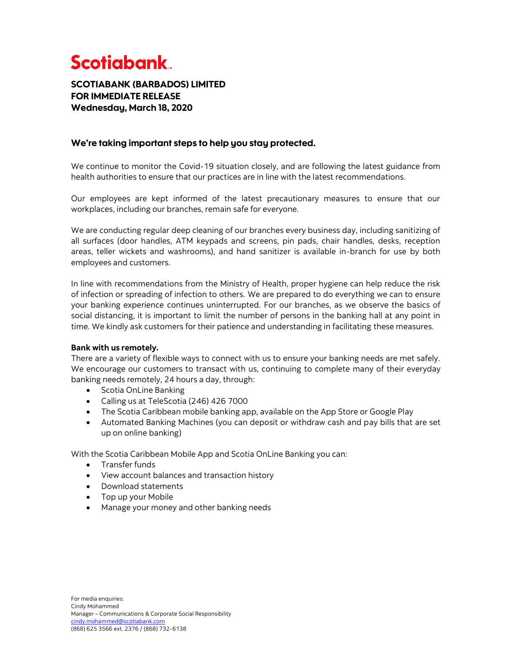# **Scotiabank**

# SCOTIABANK (BARBADOS) LIMITED FOR IMMEDIATE RELEASE Wednesday, March 18, 2020

## We're taking important steps to help you stay protected.

We continue to monitor the Covid-19 situation closely, and are following the latest guidance from health authorities to ensure that our practices are in line with the latest recommendations.

Our employees are kept informed of the latest precautionary measures to ensure that our workplaces, including our branches, remain safe for everyone.

We are conducting regular deep cleaning of our branches every business day, including sanitizing of all surfaces (door handles, ATM keypads and screens, pin pads, chair handles, desks, reception areas, teller wickets and washrooms), and hand sanitizer is available in-branch for use by both employees and customers.

In line with recommendations from the Ministry of Health, proper hygiene can help reduce the risk of infection or spreading of infection to others. We are prepared to do everything we can to ensure your banking experience continues uninterrupted. For our branches, as we observe the basics of social distancing, it is important to limit the number of persons in the banking hall at any point in time. We kindly ask customers for their patience and understanding in facilitating these measures.

## **Bank with us remotely.**

There are a variety of flexible ways to connect with us to ensure your banking needs are met safely. We encourage our customers to transact with us, continuing to complete many of their everyday banking needs remotely, 24 hours a day, through:

- Scotia OnLine Banking
- Calling us at TeleScotia (246) 426 7000
- The Scotia Caribbean mobile banking app, available on the App Store or Google Play
- Automated Banking Machines (you can deposit or withdraw cash and pay bills that are set up on online banking)

With the Scotia Caribbean Mobile App and Scotia OnLine Banking you can:

- Transfer funds
- View account balances and transaction history
- Download statements
- Top up your Mobile
- Manage your money and other banking needs